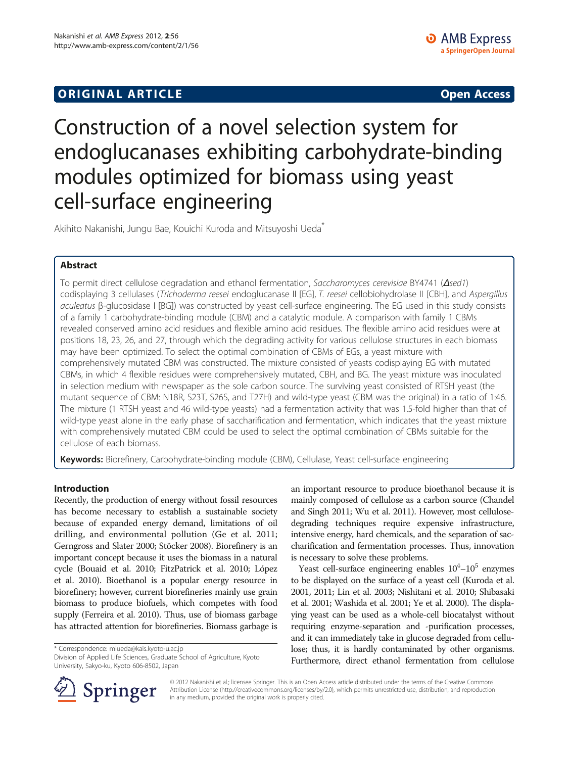# **ORIGINAL ARTICLE CONSUMING A LIGACION** CONSUMING A LIGACION CONSUMING A LIGACION CONSUMING A LIGACION CONSUMING A LIGACION CONSUMING A LIGACION CONSUMING A LIGACION CONSUMING A LIGACION CONSUMING A LIGACION CONSUMING A

# Construction of a novel selection system for endoglucanases exhibiting carbohydrate-binding modules optimized for biomass using yeast cell-surface engineering

Akihito Nakanishi, Jungu Bae, Kouichi Kuroda and Mitsuyoshi Ueda<sup>\*</sup>

# Abstract

To permit direct cellulose degradation and ethanol fermentation, Saccharomyces cerevisiae BY4741 (Δsed1) codisplaying 3 cellulases (Trichoderma reesei endoglucanase II [EG], T. reesei cellobiohydrolase II [CBH], and Aspergillus aculeatus β-glucosidase I [BG]) was constructed by yeast cell-surface engineering. The EG used in this study consists of a family 1 carbohydrate-binding module (CBM) and a catalytic module. A comparison with family 1 CBMs revealed conserved amino acid residues and flexible amino acid residues. The flexible amino acid residues were at positions 18, 23, 26, and 27, through which the degrading activity for various cellulose structures in each biomass may have been optimized. To select the optimal combination of CBMs of EGs, a yeast mixture with comprehensively mutated CBM was constructed. The mixture consisted of yeasts codisplaying EG with mutated CBMs, in which 4 flexible residues were comprehensively mutated, CBH, and BG. The yeast mixture was inoculated in selection medium with newspaper as the sole carbon source. The surviving yeast consisted of RTSH yeast (the mutant sequence of CBM: N18R, S23T, S26S, and T27H) and wild-type yeast (CBM was the original) in a ratio of 1:46. The mixture (1 RTSH yeast and 46 wild-type yeasts) had a fermentation activity that was 1.5-fold higher than that of wild-type yeast alone in the early phase of saccharification and fermentation, which indicates that the yeast mixture with comprehensively mutated CBM could be used to select the optimal combination of CBMs suitable for the cellulose of each biomass.

Keywords: Biorefinery, Carbohydrate-binding module (CBM), Cellulase, Yeast cell-surface engineering

# Introduction

Recently, the production of energy without fossil resources has become necessary to establish a sustainable society because of expanded energy demand, limitations of oil drilling, and environmental pollution (Ge et al. [2011](#page-7-0); Gerngross and Slater [2000;](#page-7-0) Stöcker [2008](#page-7-0)). Biorefinery is an important concept because it uses the biomass in a natural cycle (Bouaid et al. [2010](#page-7-0); FitzPatrick et al. [2010;](#page-7-0) López et al. [2010](#page-7-0)). Bioethanol is a popular energy resource in biorefinery; however, current biorefineries mainly use grain biomass to produce biofuels, which competes with food supply (Ferreira et al. [2010\)](#page-7-0). Thus, use of biomass garbage has attracted attention for biorefineries. Biomass garbage is

\* Correspondence: [miueda@kais.kyoto-u.ac.jp](mailto:miueda@kais.kyoto-u.ac.jp)

Division of Applied Life Sciences, Graduate School of Agriculture, Kyoto University, Sakyo-ku, Kyoto 606-8502, Japan

an important resource to produce bioethanol because it is mainly composed of cellulose as a carbon source (Chandel and Singh [2011;](#page-7-0) Wu et al. [2011\)](#page-7-0). However, most cellulosedegrading techniques require expensive infrastructure, intensive energy, hard chemicals, and the separation of saccharification and fermentation processes. Thus, innovation is necessary to solve these problems.

Yeast cell-surface engineering enables  $10^4 - 10^5$  enzymes to be displayed on the surface of a yeast cell (Kuroda et al. [2001, 2011;](#page-7-0) Lin et al. [2003;](#page-7-0) Nishitani et al. [2010;](#page-7-0) Shibasaki et al. [2001](#page-7-0); Washida et al. [2001;](#page-7-0) Ye et al. [2000](#page-7-0)). The displaying yeast can be used as a whole-cell biocatalyst without requiring enzyme-separation and -purification processes, and it can immediately take in glucose degraded from cellulose; thus, it is hardly contaminated by other organisms. Furthermore, direct ethanol fermentation from cellulose



© 2012 Nakanishi et al.; licensee Springer. This is an Open Access article distributed under the terms of the Creative Commons Attribution License [\(http://creativecommons.org/licenses/by/2.0\)](http://creativecommons.org/licenses/by/2.0), which permits unrestricted use, distribution, and reproduction in any medium, provided the original work is properly cited.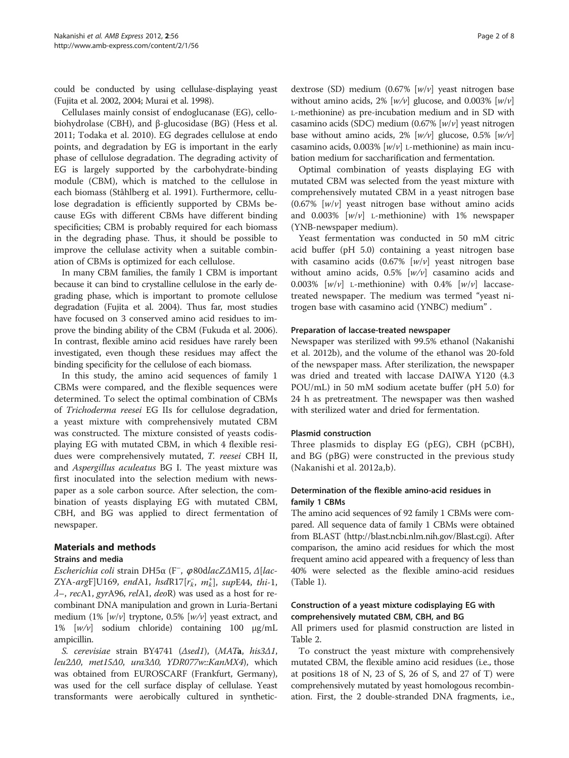could be conducted by using cellulase-displaying yeast (Fujita et al. [2002](#page-7-0), [2004;](#page-7-0) Murai et al. [1998\)](#page-7-0).

Cellulases mainly consist of endoglucanase (EG), cellobiohydrolase (CBH), and β-glucosidase (BG) (Hess et al. [2011](#page-7-0); Todaka et al. [2010\)](#page-7-0). EG degrades cellulose at endo points, and degradation by EG is important in the early phase of cellulose degradation. The degrading activity of EG is largely supported by the carbohydrate-binding module (CBM), which is matched to the cellulose in each biomass (Ståhlberg et al. [1991\)](#page-7-0). Furthermore, cellulose degradation is efficiently supported by CBMs because EGs with different CBMs have different binding specificities; CBM is probably required for each biomass in the degrading phase. Thus, it should be possible to improve the cellulase activity when a suitable combination of CBMs is optimized for each cellulose.

In many CBM families, the family 1 CBM is important because it can bind to crystalline cellulose in the early degrading phase, which is important to promote cellulose degradation (Fujita et al. [2004](#page-7-0)). Thus far, most studies have focused on 3 conserved amino acid residues to improve the binding ability of the CBM (Fukuda et al. [2006](#page-7-0)). In contrast, flexible amino acid residues have rarely been investigated, even though these residues may affect the binding specificity for the cellulose of each biomass.

In this study, the amino acid sequences of family 1 CBMs were compared, and the flexible sequences were determined. To select the optimal combination of CBMs of Trichoderma reesei EG IIs for cellulose degradation, a yeast mixture with comprehensively mutated CBM was constructed. The mixture consisted of yeasts codisplaying EG with mutated CBM, in which 4 flexible residues were comprehensively mutated, T. reesei CBH II, and Aspergillus aculeatus BG I. The yeast mixture was first inoculated into the selection medium with newspaper as a sole carbon source. After selection, the combination of yeasts displaying EG with mutated CBM, CBH, and BG was applied to direct fermentation of newspaper.

# Materials and methods

# Strains and media

Escherichia coli strain DH5α (F– , <sup>φ</sup>80dlacZΔM15, Δ[lac- $ZYA\text{-}argF]U169$ , endA1, hsdR17 $[r_k^-, m_k^+]$ , supE44, thi-1,  $\lambda$ –, recA1, gyrA96, relA1, deoR) was used as a host for recombinant DNA manipulation and grown in Luria-Bertani medium (1%  $[w/v]$  tryptone, 0.5%  $[w/v]$  yeast extract, and 1% [w/v] sodium chloride) containing 100 μg/mL ampicillin.

S. cerevisiae strain BY4741 ( $\triangle$ sed1), (MATa, his3 $\triangle$ 1, leu2Δ0, met15Δ0, ura3Δ0, YDR077w::KanMX4), which was obtained from EUROSCARF (Frankfurt, Germany), was used for the cell surface display of cellulase. Yeast transformants were aerobically cultured in synthetic-

dextrose (SD) medium  $(0.67\%$  [w/v] yeast nitrogen base without amino acids, 2%  $[w/v]$  glucose, and 0.003%  $[w/v]$ L-methionine) as pre-incubation medium and in SD with casamino acids (SDC) medium (0.67%  $[w/v]$  yeast nitrogen base without amino acids,  $2\%$  [w/v] glucose, 0.5% [w/v] casamino acids,  $0.003\%$  [w/v] L-methionine) as main incubation medium for saccharification and fermentation.

Optimal combination of yeasts displaying EG with mutated CBM was selected from the yeast mixture with comprehensively mutated CBM in a yeast nitrogen base  $(0.67\%$  [w/v] yeast nitrogen base without amino acids and  $0.003\%$  [ $w/v$ ] L-methionine) with 1% newspaper (YNB-newspaper medium).

Yeast fermentation was conducted in 50 mM citric acid buffer (pH 5.0) containing a yeast nitrogen base with casamino acids  $(0.67\% \, \text{[}w/\text{v} \, \text{]} \, \text{year}$  nitrogen base without amino acids,  $0.5\%$   $[w/v]$  casamino acids and 0.003%  $[w/v]$  L-methionine) with 0.4%  $[w/v]$  laccasetreated newspaper. The medium was termed "yeast nitrogen base with casamino acid (YNBC) medium" .

# Preparation of laccase-treated newspaper

Newspaper was sterilized with 99.5% ethanol (Nakanishi et al. [2012b\)](#page-7-0), and the volume of the ethanol was 20-fold of the newspaper mass. After sterilization, the newspaper was dried and treated with laccase DAIWA Y120 (4.3 POU/mL) in 50 mM sodium acetate buffer (pH 5.0) for 24 h as pretreatment. The newspaper was then washed with sterilized water and dried for fermentation.

# Plasmid construction

Three plasmids to display EG (pEG), CBH (pCBH), and BG (pBG) were constructed in the previous study (Nakanishi et al. [2012a,b\)](#page-7-0).

# Determination of the flexible amino-acid residues in family 1 CBMs

The amino acid sequences of 92 family 1 CBMs were compared. All sequence data of family 1 CBMs were obtained from BLAST [\(http://blast.ncbi.nlm.nih.gov/Blast.cgi\)](http://blast.ncbi.nlm.nih.gov/Blast.cgi). After comparison, the amino acid residues for which the most frequent amino acid appeared with a frequency of less than 40% were selected as the flexible amino-acid residues (Table [1\)](#page-2-0).

# Construction of a yeast mixture codisplaying EG with comprehensively mutated CBM, CBH, and BG

All primers used for plasmid construction are listed in Table [2.](#page-2-0)

To construct the yeast mixture with comprehensively mutated CBM, the flexible amino acid residues (i.e., those at positions 18 of N, 23 of S, 26 of S, and 27 of T) were comprehensively mutated by yeast homologous recombination. First, the 2 double-stranded DNA fragments, i.e.,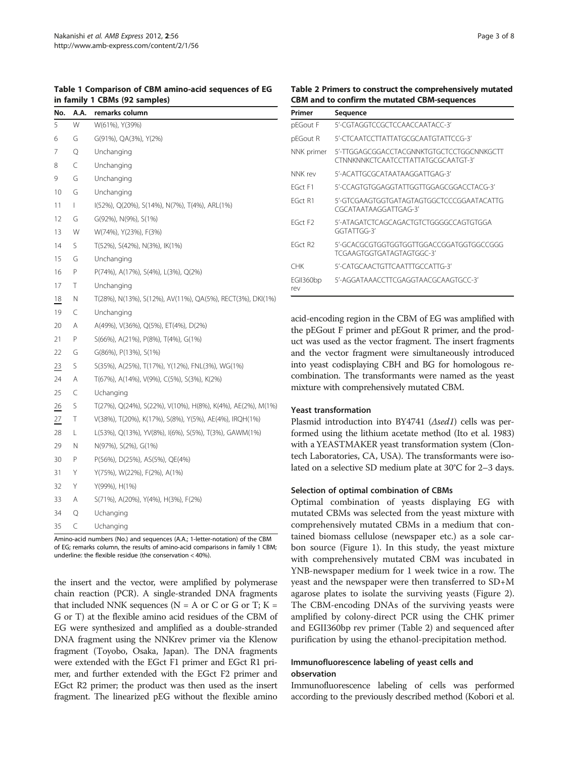<span id="page-2-0"></span>Table 1 Comparison of CBM amino-acid sequences of EG in family 1 CBMs (92 samples)

| No. | A.A.         | remarks column                                              |
|-----|--------------|-------------------------------------------------------------|
| 5   | W            | W(61%), Y(39%)                                              |
| 6   | G            | G(91%), QA(3%), Y(2%)                                       |
| 7   | Q            | Unchanging                                                  |
| 8   | C            | Unchanging                                                  |
| 9   | G            | Unchanging                                                  |
| 10  | G            | Unchanging                                                  |
| 11  | $\mathsf{L}$ | I(52%), Q(20%), S(14%), N(7%), T(4%), ARL(1%)               |
| 12  | G            | G(92%), N(9%), S(1%)                                        |
| 13  | W            | W(74%), Y(23%), F(3%)                                       |
| 14  | S            | T(52%), S(42%), N(3%), IK(1%)                               |
| 15  | G            | Unchanging                                                  |
| 16  | P            | P(74%), A(17%), S(4%), L(3%), Q(2%)                         |
| 17  | Τ            | Unchanging                                                  |
| 18  | Ν            | T(28%), N(13%), S(12%), AV(11%), QA(5%), RECT(3%), DKI(1%)  |
| 19  | C            | Unchanging                                                  |
| 20  | A            | A(49%), V(36%), Q(5%), ET(4%), D(2%)                        |
| 21  | P            | S(66%), A(21%), P(8%), T(4%), G(1%)                         |
| 22  | G            | G(86%), P(13%), S(1%)                                       |
| 23  | S            | S(35%), A(25%), T(17%), Y(12%), FNL(3%), WG(1%)             |
| 24  | A            | T(67%), A(14%), V(9%), C(5%), S(3%), K(2%)                  |
| 25  | C            | Uchanging                                                   |
| 26  | S            | T(27%), Q(24%), S(22%), V(10%), H(8%), K(4%), AE(2%), M(1%) |
| 27  | Τ            | V(38%), T(20%), K(17%), S(8%), Y(5%), AE(4%), IRQH(1%)      |
| 28  | L            | L(53%), Q(13%), YV(8%), I(6%), S(5%), T(3%), GAWM(1%)       |
| 29  | Ν            | N(97%), S(2%), G(1%)                                        |
| 30  | P            | P(56%), D(25%), AS(5%), QE(4%)                              |
| 31  | Y            | Y(75%), W(22%), F(2%), A(1%)                                |
| 32  | Υ            | Y(99%), H(1%)                                               |
| 33  | A            | S(71%), A(20%), Y(4%), H(3%), F(2%)                         |
| 34  | Q            | Uchanging                                                   |
| 35  | C            | Uchanging                                                   |

Amino-acid numbers (No.) and sequences (A.A.; 1-letter-notation) of the CBM of EG; remarks column, the results of amino-acid comparisons in family 1 CBM; underline: the flexible residue (the conservation < 40%).

the insert and the vector, were amplified by polymerase chain reaction (PCR). A single-stranded DNA fragments that included NNK sequences ( $N = A$  or C or G or T;  $K =$ G or T) at the flexible amino acid residues of the CBM of EG were synthesized and amplified as a double-stranded DNA fragment using the NNKrev primer via the Klenow fragment (Toyobo, Osaka, Japan). The DNA fragments were extended with the EGct F1 primer and EGct R1 primer, and further extended with the EGct F2 primer and EGct R2 primer; the product was then used as the insert fragment. The linearized pEG without the flexible amino

| Primer              | Sequence                                                                         |  |  |  |  |
|---------------------|----------------------------------------------------------------------------------|--|--|--|--|
| pEGout F            | 5'-CGTAGGTCCGCTCCAACCAATACC-3'                                                   |  |  |  |  |
| pEGout R            | 5'-CTCAATCCTTATTATGCGCAATGTATTCCG-3'                                             |  |  |  |  |
| NNK primer          | 5'-TTGGAGCGGACCTACGNNKTGTGCTCCTGGCNNKGCTT<br>CTNNKNNKCTCAATCCTTATTATGCGCAATGT-3' |  |  |  |  |
| NNK rev             | 5'-ACATTGCGCATAATAAGGATTGAG-3'                                                   |  |  |  |  |
| FGct F1             | 5'-CCAGTGTGGAGGTATTGGTTGGAGCGGACCTACG-3'                                         |  |  |  |  |
| FGct R1             | 5'-GTCGAAGTGGTGATAGTAGTGGCTCCCGGAATACATTG<br>CGCATAATAAGGATTGAG-3'               |  |  |  |  |
| FGct F <sub>2</sub> | 5'-ATAGATCTCAGCAGACTGTCTGGGGCCAGTGTGGA<br>GGTATTGG-3'                            |  |  |  |  |
| FGct R <sub>2</sub> | 5'-GCACGCGTGGTGGTGGTTGGACCGGATGGTGGCCGGG<br>TCGAAGTGGTGATAGTAGTGGC-3'            |  |  |  |  |
| CHK                 | 5'-CATGCAACTGTTCAATTTGCCATTG-3'                                                  |  |  |  |  |
| EGII360bp<br>rev    | 5'-AGGATAAACCTTCGAGGTAACGCAAGTGCC-3'                                             |  |  |  |  |

acid-encoding region in the CBM of EG was amplified with the pEGout F primer and pEGout R primer, and the product was used as the vector fragment. The insert fragments and the vector fragment were simultaneously introduced into yeast codisplaying CBH and BG for homologous recombination. The transformants were named as the yeast mixture with comprehensively mutated CBM.

### Yeast transformation

Plasmid introduction into BY4741 (Δsed1) cells was performed using the lithium acetate method (Ito et al. [1983](#page-7-0)) with a YEASTMAKER yeast transformation system (Clontech Laboratories, CA, USA). The transformants were isolated on a selective SD medium plate at 30°C for 2–3 days.

# Selection of optimal combination of CBMs

Optimal combination of yeasts displaying EG with mutated CBMs was selected from the yeast mixture with comprehensively mutated CBMs in a medium that contained biomass cellulose (newspaper etc.) as a sole carbon source (Figure [1](#page-3-0)). In this study, the yeast mixture with comprehensively mutated CBM was incubated in YNB-newspaper medium for 1 week twice in a row. The yeast and the newspaper were then transferred to SD+M agarose plates to isolate the surviving yeasts (Figure [2](#page-3-0)). The CBM-encoding DNAs of the surviving yeasts were amplified by colony-direct PCR using the CHK primer and EGII360bp rev primer (Table 2) and sequenced after purification by using the ethanol-precipitation method.

# Immunofluorescence labeling of yeast cells and observation

Immunofluorescence labeling of cells was performed according to the previously described method (Kobori et al.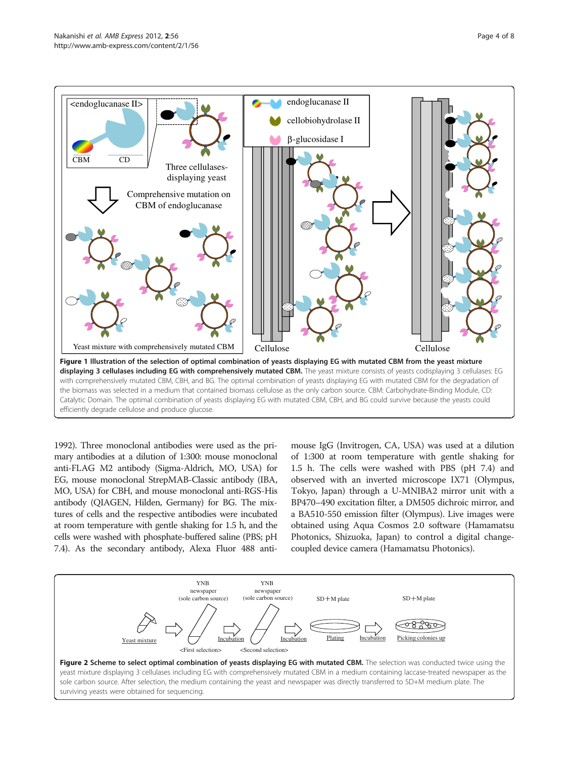<span id="page-3-0"></span>

[1992\)](#page-7-0). Three monoclonal antibodies were used as the primary antibodies at a dilution of 1:300: mouse monoclonal anti-FLAG M2 antibody (Sigma-Aldrich, MO, USA) for EG, mouse monoclonal StrepMAB-Classic antibody (IBA, MO, USA) for CBH, and mouse monoclonal anti-RGS-His antibody (QIAGEN, Hilden, Germany) for BG. The mixtures of cells and the respective antibodies were incubated at room temperature with gentle shaking for 1.5 h, and the cells were washed with phosphate-buffered saline (PBS; pH 7.4). As the secondary antibody, Alexa Fluor 488 anti-

mouse IgG (Invitrogen, CA, USA) was used at a dilution of 1:300 at room temperature with gentle shaking for 1.5 h. The cells were washed with PBS (pH 7.4) and observed with an inverted microscope IX71 (Olympus, Tokyo, Japan) through a U-MNIBA2 mirror unit with a BP470–490 excitation filter, a DM505 dichroic mirror, and a BA510-550 emission filter (Olympus). Live images were obtained using Aqua Cosmos 2.0 software (Hamamatsu Photonics, Shizuoka, Japan) to control a digital changecoupled device camera (Hamamatsu Photonics).

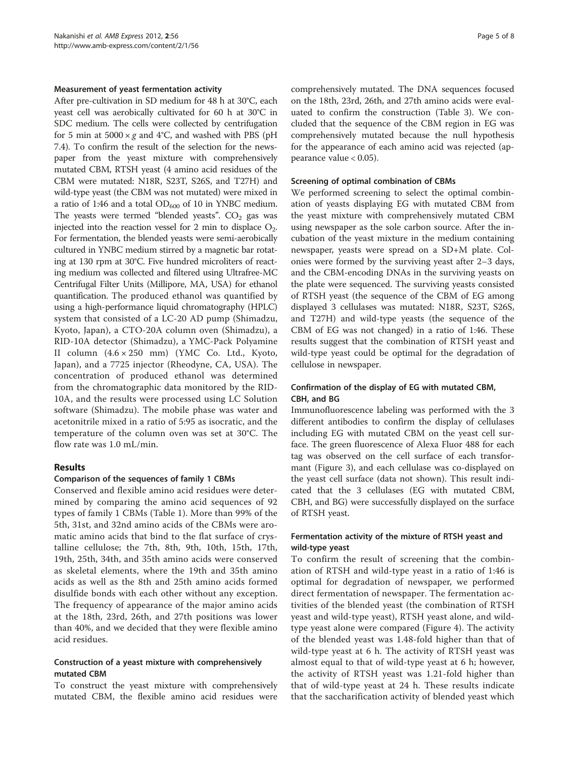#### Measurement of yeast fermentation activity

After pre-cultivation in SD medium for 48 h at 30°C, each yeast cell was aerobically cultivated for 60 h at 30°C in SDC medium. The cells were collected by centrifugation for 5 min at  $5000 \times g$  and 4°C, and washed with PBS (pH 7.4). To confirm the result of the selection for the newspaper from the yeast mixture with comprehensively mutated CBM, RTSH yeast (4 amino acid residues of the CBM were mutated: N18R, S23T, S26S, and T27H) and wild-type yeast (the CBM was not mutated) were mixed in a ratio of 1:46 and a total  $OD_{600}$  of 10 in YNBC medium. The yeasts were termed "blended yeasts".  $CO<sub>2</sub>$  gas was injected into the reaction vessel for 2 min to displace  $O_2$ . For fermentation, the blended yeasts were semi-aerobically cultured in YNBC medium stirred by a magnetic bar rotating at 130 rpm at 30°C. Five hundred microliters of reacting medium was collected and filtered using Ultrafree-MC Centrifugal Filter Units (Millipore, MA, USA) for ethanol quantification. The produced ethanol was quantified by using a high-performance liquid chromatography (HPLC) system that consisted of a LC-20 AD pump (Shimadzu, Kyoto, Japan), a CTO-20A column oven (Shimadzu), a RID-10A detector (Shimadzu), a YMC-Pack Polyamine II column (4.6 × 250 mm) (YMC Co. Ltd., Kyoto, Japan), and a 7725 injector (Rheodyne, CA, USA). The concentration of produced ethanol was determined from the chromatographic data monitored by the RID-10A, and the results were processed using LC Solution software (Shimadzu). The mobile phase was water and acetonitrile mixed in a ratio of 5:95 as isocratic, and the temperature of the column oven was set at 30°C. The flow rate was 1.0 mL/min.

## Results

#### Comparison of the sequences of family 1 CBMs

Conserved and flexible amino acid residues were determined by comparing the amino acid sequences of 92 types of family 1 CBMs (Table [1](#page-2-0)). More than 99% of the 5th, 31st, and 32nd amino acids of the CBMs were aromatic amino acids that bind to the flat surface of crystalline cellulose; the 7th, 8th, 9th, 10th, 15th, 17th, 19th, 25th, 34th, and 35th amino acids were conserved as skeletal elements, where the 19th and 35th amino acids as well as the 8th and 25th amino acids formed disulfide bonds with each other without any exception. The frequency of appearance of the major amino acids at the 18th, 23rd, 26th, and 27th positions was lower than 40%, and we decided that they were flexible amino acid residues.

# Construction of a yeast mixture with comprehensively mutated CBM

To construct the yeast mixture with comprehensively mutated CBM, the flexible amino acid residues were comprehensively mutated. The DNA sequences focused on the 18th, 23rd, 26th, and 27th amino acids were evaluated to confirm the construction (Table [3\)](#page-5-0). We concluded that the sequence of the CBM region in EG was comprehensively mutated because the null hypothesis for the appearance of each amino acid was rejected (appearance value  $< 0.05$ ).

#### Screening of optimal combination of CBMs

We performed screening to select the optimal combination of yeasts displaying EG with mutated CBM from the yeast mixture with comprehensively mutated CBM using newspaper as the sole carbon source. After the incubation of the yeast mixture in the medium containing newspaper, yeasts were spread on a SD+M plate. Colonies were formed by the surviving yeast after 2–3 days, and the CBM-encoding DNAs in the surviving yeasts on the plate were sequenced. The surviving yeasts consisted of RTSH yeast (the sequence of the CBM of EG among displayed 3 cellulases was mutated: N18R, S23T, S26S, and T27H) and wild-type yeasts (the sequence of the CBM of EG was not changed) in a ratio of 1:46. These results suggest that the combination of RTSH yeast and wild-type yeast could be optimal for the degradation of cellulose in newspaper.

# Confirmation of the display of EG with mutated CBM, CBH, and BG

Immunofluorescence labeling was performed with the 3 different antibodies to confirm the display of cellulases including EG with mutated CBM on the yeast cell surface. The green fluorescence of Alexa Fluor 488 for each tag was observed on the cell surface of each transformant (Figure [3\)](#page-6-0), and each cellulase was co-displayed on the yeast cell surface (data not shown). This result indicated that the 3 cellulases (EG with mutated CBM, CBH, and BG) were successfully displayed on the surface of RTSH yeast.

# Fermentation activity of the mixture of RTSH yeast and wild-type yeast

To confirm the result of screening that the combination of RTSH and wild-type yeast in a ratio of 1:46 is optimal for degradation of newspaper, we performed direct fermentation of newspaper. The fermentation activities of the blended yeast (the combination of RTSH yeast and wild-type yeast), RTSH yeast alone, and wildtype yeast alone were compared (Figure [4](#page-6-0)). The activity of the blended yeast was 1.48-fold higher than that of wild-type yeast at 6 h. The activity of RTSH yeast was almost equal to that of wild-type yeast at 6 h; however, the activity of RTSH yeast was 1.21-fold higher than that of wild-type yeast at 24 h. These results indicate that the saccharification activity of blended yeast which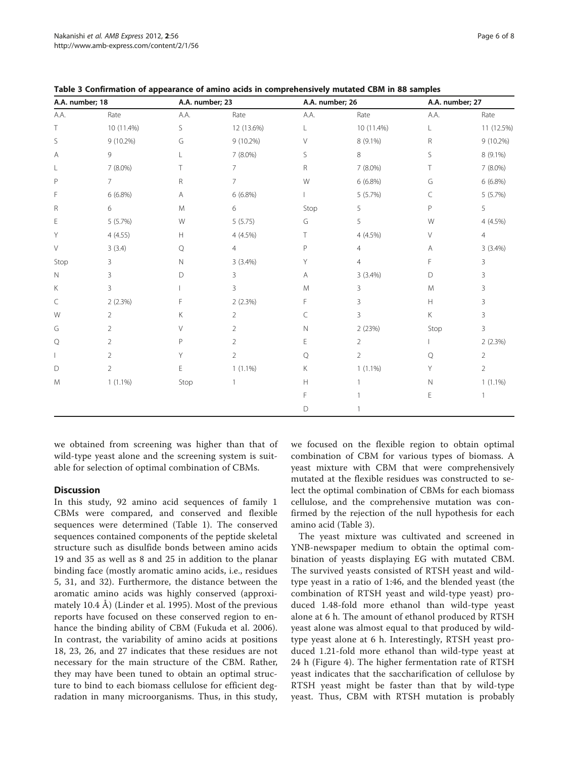| A.A. number; 18 |                | A.A. number; 23 |                | A.A. number; 26 |                | A.A. number; 27 |                |
|-----------------|----------------|-----------------|----------------|-----------------|----------------|-----------------|----------------|
| A.A.            | Rate           | A.A.            | Rate           | A.A.            | Rate           | A.A.            | Rate           |
| Τ               | 10 (11.4%)     | S               | 12 (13.6%)     | L               | 10 (11.4%)     | L               | 11 (12.5%)     |
| S               | 9 (10.2%)      | G               | $9(10.2\%)$    | V               | 8 (9.1%)       | R               | 9 (10.2%)      |
| Α               | 9              |                 | 7 (8.0%)       | S               | 8              | S               | 8 (9.1%)       |
| L               | 7 (8.0%)       |                 | $\overline{7}$ | R               | $7(8.0\%)$     | T.              | $7(8.0\%)$     |
| $\mathsf P$     | $7^{\circ}$    | R               | $\overline{7}$ | W               | $6(6.8\%)$     | G               | $6(6.8\%)$     |
| F               | $6(6.8\%)$     | Α               | 6(6.8%)        |                 | 5(5.7%)        | C               | 5 (5.7%)       |
| R               | 6              | M               | 6              | Stop            | 5              | P               | 5              |
| Ε               | 5(5.7%)        | W               | 5(5.75)        | G               | 5              | W               | 4 (4.5%)       |
| Y               | 4(4.55)        | H               | 4 (4.5%)       | Т               | $4(4.5\%)$     | V               | $\overline{4}$ |
| $\vee$          | 3(3.4)         | Q               | $\overline{4}$ | P               | 4              | Α               | $3(3.4\%)$     |
| Stop            | 3              | Ν               | $3(3.4\%)$     | Y               | 4              | F               | 3              |
| $\mathsf{N}$    | 3              | D               | 3              | A               | $3(3.4\%)$     | D               | 3              |
| Κ               | 3              |                 | 3              | M               | 3              | M               | 3              |
| $\subset$       | 2(2.3%)        | F               | 2(2.3%)        | F               | 3              | H               | 3              |
| W               | $\overline{2}$ | Κ               | $\overline{2}$ | C               | 3              | Κ               | 3              |
| G               | $\overline{2}$ | V               | $\overline{2}$ | N               | 2(23%)         | Stop            | 3              |
| Q               | $\overline{2}$ | P               | $\overline{2}$ | Е               | $\overline{2}$ |                 | 2(2.3%)        |
|                 | $\overline{2}$ | Υ               | $\overline{2}$ | Q               | $\overline{2}$ | Q               | $\overline{2}$ |
| D               | $\overline{2}$ | Ε               | $1(1.1\%)$     | Κ               | $1(1.1\%)$     | Υ               | $\overline{2}$ |
| M               | $1(1.1\%)$     | Stop            |                | Н               |                | Ν               | $1(1.1\%)$     |
|                 |                |                 |                | F               |                | E               | $\overline{1}$ |
|                 |                |                 |                | D               | 1              |                 |                |

<span id="page-5-0"></span>Table 3 Confirmation of appearance of amino acids in comprehensively mutated CBM in 88 samples

we obtained from screening was higher than that of wild-type yeast alone and the screening system is suitable for selection of optimal combination of CBMs.

# **Discussion**

In this study, 92 amino acid sequences of family 1 CBMs were compared, and conserved and flexible sequences were determined (Table [1\)](#page-2-0). The conserved sequences contained components of the peptide skeletal structure such as disulfide bonds between amino acids 19 and 35 as well as 8 and 25 in addition to the planar binding face (mostly aromatic amino acids, i.e., residues 5, 31, and 32). Furthermore, the distance between the aromatic amino acids was highly conserved (approximately 10.4 Å) (Linder et al. [1995\)](#page-7-0). Most of the previous reports have focused on these conserved region to enhance the binding ability of CBM (Fukuda et al. [2006](#page-7-0)). In contrast, the variability of amino acids at positions 18, 23, 26, and 27 indicates that these residues are not necessary for the main structure of the CBM. Rather, they may have been tuned to obtain an optimal structure to bind to each biomass cellulose for efficient degradation in many microorganisms. Thus, in this study, we focused on the flexible region to obtain optimal combination of CBM for various types of biomass. A yeast mixture with CBM that were comprehensively mutated at the flexible residues was constructed to select the optimal combination of CBMs for each biomass cellulose, and the comprehensive mutation was confirmed by the rejection of the null hypothesis for each amino acid (Table 3).

The yeast mixture was cultivated and screened in YNB-newspaper medium to obtain the optimal combination of yeasts displaying EG with mutated CBM. The survived yeasts consisted of RTSH yeast and wildtype yeast in a ratio of 1:46, and the blended yeast (the combination of RTSH yeast and wild-type yeast) produced 1.48-fold more ethanol than wild-type yeast alone at 6 h. The amount of ethanol produced by RTSH yeast alone was almost equal to that produced by wildtype yeast alone at 6 h. Interestingly, RTSH yeast produced 1.21-fold more ethanol than wild-type yeast at 24 h (Figure [4](#page-6-0)). The higher fermentation rate of RTSH yeast indicates that the saccharification of cellulose by RTSH yeast might be faster than that by wild-type yeast. Thus, CBM with RTSH mutation is probably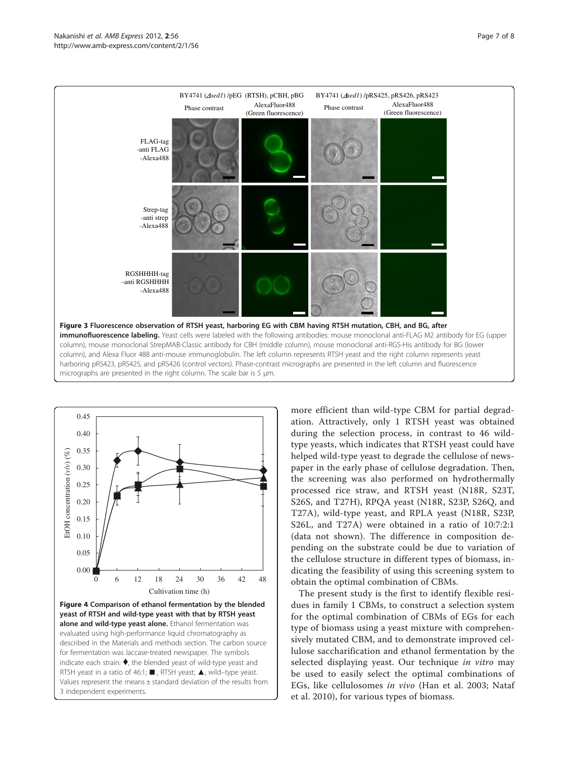<span id="page-6-0"></span>



more efficient than wild-type CBM for partial degradation. Attractively, only 1 RTSH yeast was obtained during the selection process, in contrast to 46 wildtype yeasts, which indicates that RTSH yeast could have helped wild-type yeast to degrade the cellulose of newspaper in the early phase of cellulose degradation. Then, the screening was also performed on hydrothermally processed rice straw, and RTSH yeast (N18R, S23T, S26S, and T27H), RPQA yeast (N18R, S23P, S26Q, and T27A), wild-type yeast, and RPLA yeast (N18R, S23P, S26L, and T27A) were obtained in a ratio of 10:7:2:1 (data not shown). The difference in composition depending on the substrate could be due to variation of the cellulose structure in different types of biomass, indicating the feasibility of using this screening system to obtain the optimal combination of CBMs.

The present study is the first to identify flexible residues in family 1 CBMs, to construct a selection system for the optimal combination of CBMs of EGs for each type of biomass using a yeast mixture with comprehensively mutated CBM, and to demonstrate improved cellulose saccharification and ethanol fermentation by the selected displaying yeast. Our technique in vitro may be used to easily select the optimal combinations of EGs, like cellulosomes in vivo (Han et al. [2003](#page-7-0); Nataf et al. [2010\)](#page-7-0), for various types of biomass.